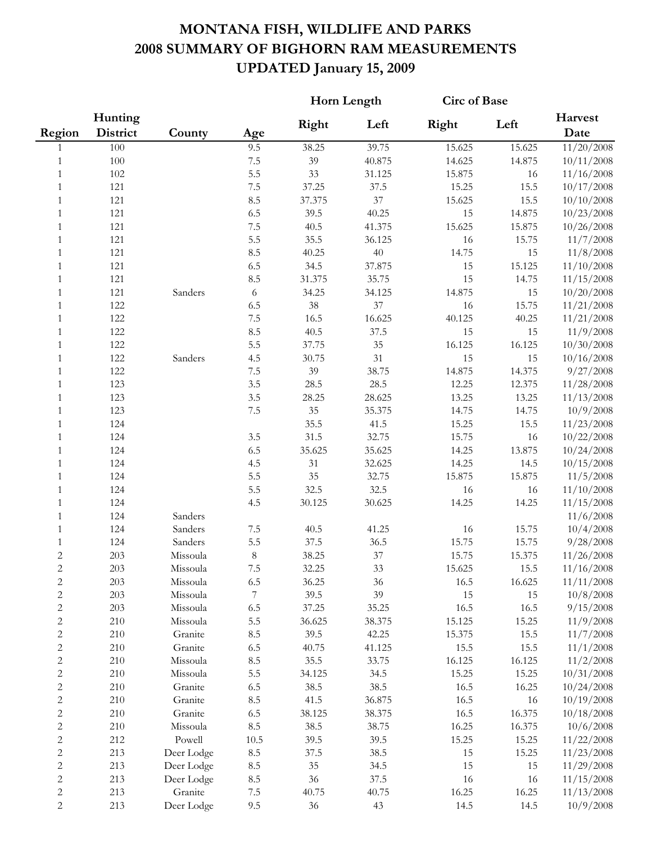## **MONTANA FISH, WILDLIFE AND PARKS 2008 SUMMARY OF BIGHORN RAM MEASUREMENTS UPDATED January 15, 2009**

|                |                     |            |                  | Horn Length |        | <b>Circ of Base</b> |        |                 |
|----------------|---------------------|------------|------------------|-------------|--------|---------------------|--------|-----------------|
| Region         | Hunting<br>District | County     | Age              | Right       | Left   | Right               | Left   | Harvest<br>Date |
| 1              | 100                 |            | 9.5              | 38.25       | 39.75  | 15.625              | 15.625 | 11/20/2008      |
| 1              | 100                 |            | 7.5              | 39          | 40.875 | 14.625              | 14.875 | 10/11/2008      |
| 1              | 102                 |            | 5.5              | 33          | 31.125 | 15.875              | 16     | 11/16/2008      |
| 1              | 121                 |            | $7.5\,$          | 37.25       | 37.5   | 15.25               | 15.5   | 10/17/2008      |
| 1              | 121                 |            | 8.5              | 37.375      | 37     | 15.625              | 15.5   | 10/10/2008      |
| 1              | 121                 |            | 6.5              | 39.5        | 40.25  | 15                  | 14.875 | 10/23/2008      |
| 1              | 121                 |            | $7.5\,$          | 40.5        | 41.375 | 15.625              | 15.875 | 10/26/2008      |
| $\mathbf{1}$   | 121                 |            | 5.5              | 35.5        | 36.125 | 16                  | 15.75  | 11/7/2008       |
| $\mathbf{1}$   | 121                 |            | 8.5              | 40.25       | $40\,$ | 14.75               | 15     | 11/8/2008       |
| $\mathbf{1}$   | 121                 |            | 6.5              | 34.5        | 37.875 | 15                  | 15.125 | 11/10/2008      |
| $\mathbf{1}$   | 121                 |            | 8.5              | 31.375      | 35.75  | 15                  | 14.75  | 11/15/2008      |
| $\mathbf{1}$   | 121                 | Sanders    | $\sqrt{6}$       | 34.25       | 34.125 | 14.875              | 15     | 10/20/2008      |
| $\mathbf{1}$   | 122                 |            | 6.5              | $38\,$      | 37     | 16                  | 15.75  | 11/21/2008      |
| $\mathbf{1}$   | 122                 |            | 7.5              | 16.5        | 16.625 | 40.125              | 40.25  | 11/21/2008      |
| $\mathbf{1}$   | 122                 |            | 8.5              | 40.5        | 37.5   | 15                  | 15     | 11/9/2008       |
| $\mathbf{1}$   | 122                 |            | 5.5              | 37.75       | $35\,$ | 16.125              | 16.125 | 10/30/2008      |
| $\mathbf{1}$   | 122                 | Sanders    | 4.5              | 30.75       | 31     | 15                  | 15     | 10/16/2008      |
| $\mathbf{1}$   | 122                 |            | 7.5              | 39          | 38.75  | 14.875              | 14.375 | 9/27/2008       |
| $\mathbf{1}$   | 123                 |            | 3.5              | 28.5        | 28.5   | 12.25               | 12.375 | 11/28/2008      |
| 1              | 123                 |            | 3.5              | 28.25       | 28.625 | 13.25               | 13.25  | 11/13/2008      |
| 1              | 123                 |            | $7.5\,$          | 35          | 35.375 | 14.75               | 14.75  | 10/9/2008       |
| 1              | 124                 |            |                  | 35.5        | 41.5   | 15.25               | 15.5   | 11/23/2008      |
| 1              | 124                 |            | 3.5              | 31.5        | 32.75  | 15.75               | 16     | 10/22/2008      |
| 1              | 124                 |            | 6.5              | 35.625      | 35.625 | 14.25               | 13.875 | 10/24/2008      |
| $\mathbf{1}$   | 124                 |            | 4.5              | 31          | 32.625 | 14.25               | 14.5   | 10/15/2008      |
| $\mathbf{1}$   | 124                 |            | 5.5              | 35          | 32.75  | 15.875              | 15.875 | 11/5/2008       |
| $\mathbf{1}$   | 124                 |            | 5.5              | 32.5        | 32.5   | 16                  | 16     | 11/10/2008      |
| $\mathbf{1}$   | 124                 |            | 4.5              | 30.125      | 30.625 | 14.25               | 14.25  | 11/15/2008      |
| $\mathbf{1}$   | 124                 | Sanders    |                  |             |        |                     |        | 11/6/2008       |
| $\mathbf{1}$   | 124                 | Sanders    | $7.5\,$          | 40.5        | 41.25  | 16                  | 15.75  | 10/4/2008       |
| 1              | 124                 | Sanders    | 5.5              | 37.5        | 36.5   | 15.75               | 15.75  | 9/28/2008       |
| $\sqrt{2}$     | 203                 | Missoula   | $\,8\,$          | 38.25       | 37     | 15.75               | 15.375 | 11/26/2008      |
| $\overline{c}$ | 203                 | Missoula   | 7.5              | 32.25       | 33     | 15.625              | 15.5   | 11/16/2008      |
| $\mathbf{2}$   | 203                 | Missoula   | 6.5              | 36.25       | 36     | 16.5                | 16.625 | 11/11/2008      |
| $\sqrt{2}$     | 203                 | Missoula   | $\boldsymbol{7}$ | 39.5        | 39     | 15                  | 15     | 10/8/2008       |
| $\sqrt{2}$     | 203                 | Missoula   | 6.5              | 37.25       | 35.25  | 16.5                | 16.5   | 9/15/2008       |
| $\sqrt{2}$     | 210                 | Missoula   | 5.5              | 36.625      | 38.375 | 15.125              | 15.25  | 11/9/2008       |
| $\sqrt{2}$     | 210                 | Granite    | 8.5              | 39.5        | 42.25  | 15.375              | 15.5   | 11/7/2008       |
| $\sqrt{2}$     | 210                 | Granite    | 6.5              | 40.75       | 41.125 | 15.5                | 15.5   | 11/1/2008       |
| $\sqrt{2}$     | 210                 | Missoula   | 8.5              | 35.5        | 33.75  | 16.125              | 16.125 | 11/2/2008       |
| $\sqrt{2}$     | 210                 | Missoula   | 5.5              | 34.125      | 34.5   | 15.25               | 15.25  | 10/31/2008      |
| $\sqrt{2}$     | 210                 | Granite    | 6.5              | 38.5        | 38.5   | 16.5                | 16.25  | 10/24/2008      |
| $\sqrt{2}$     | 210                 | Granite    | 8.5              | 41.5        | 36.875 | 16.5                | 16     | 10/19/2008      |
| $\sqrt{2}$     | 210                 | Granite    | 6.5              | 38.125      | 38.375 | 16.5                | 16.375 | 10/18/2008      |
| $\sqrt{2}$     | 210                 | Missoula   | 8.5              | 38.5        | 38.75  | 16.25               | 16.375 | 10/6/2008       |
| $\sqrt{2}$     | 212                 | Powell     | 10.5             | 39.5        | 39.5   | 15.25               | 15.25  | 11/22/2008      |
| $\overline{c}$ | 213                 | Deer Lodge | 8.5              | 37.5        | 38.5   | 15                  | 15.25  | 11/23/2008      |
| $\overline{c}$ | 213                 | Deer Lodge | 8.5              | $35\,$      | 34.5   | 15                  | 15     | 11/29/2008      |
| $\sqrt{2}$     | 213                 | Deer Lodge | $\!\!\!\!\!8.5$  | 36          | 37.5   | 16                  | 16     | 11/15/2008      |
| $\sqrt{2}$     | 213                 | Granite    | $7.5\,$          | 40.75       | 40.75  | 16.25               | 16.25  | 11/13/2008      |
| $\overline{c}$ | 213                 | Deer Lodge | 9.5              | $36\,$      | 43     | 14.5                | 14.5   | 10/9/2008       |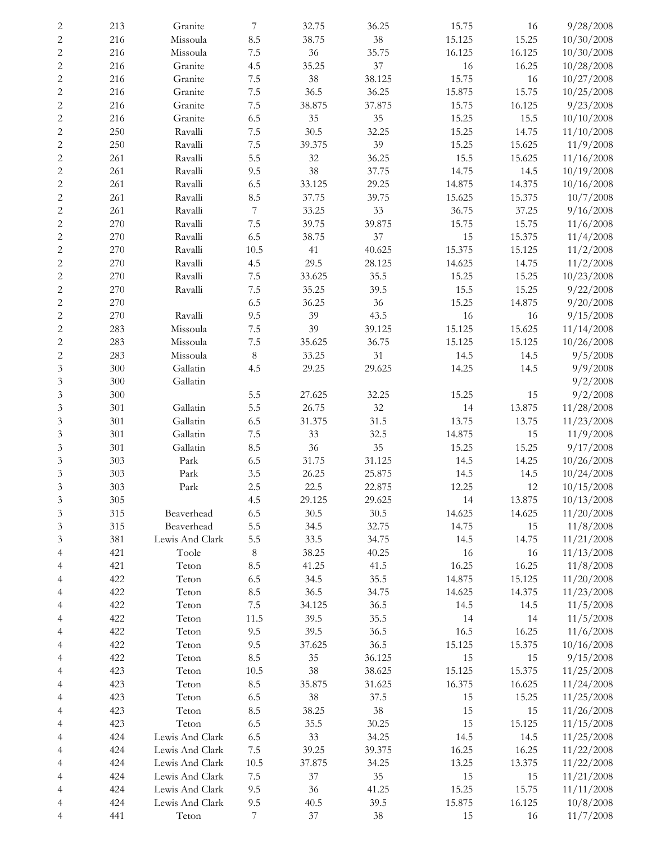|                             | 213 | Granite               | 7                | 32.75  |        |        |        | 9/28/2008  |
|-----------------------------|-----|-----------------------|------------------|--------|--------|--------|--------|------------|
| $\boldsymbol{2}$            |     |                       |                  |        | 36.25  | 15.75  | 16     |            |
| $\boldsymbol{2}$            | 216 | Missoula              | 8.5              | 38.75  | 38     | 15.125 | 15.25  | 10/30/2008 |
| $\overline{c}$              | 216 | Missoula              | $7.5\,$          | 36     | 35.75  | 16.125 | 16.125 | 10/30/2008 |
| $\boldsymbol{2}$            | 216 | Granite               | 4.5              | 35.25  | 37     | 16     | 16.25  | 10/28/2008 |
| $\sqrt{2}$                  | 216 | Granite               | $7.5\,$          | 38     | 38.125 | 15.75  | 16     | 10/27/2008 |
| $\sqrt{2}$                  | 216 | Granite               | $7.5\,$          | 36.5   | 36.25  | 15.875 | 15.75  | 10/25/2008 |
| $\sqrt{2}$                  | 216 | Granite               | $7.5\,$          | 38.875 | 37.875 | 15.75  | 16.125 | 9/23/2008  |
| $\sqrt{2}$                  | 216 | Granite               | 6.5              | 35     | 35     | 15.25  | 15.5   | 10/10/2008 |
|                             |     |                       |                  |        |        |        |        |            |
| $\sqrt{2}$                  | 250 | Ravalli               | $7.5\,$          | 30.5   | 32.25  | 15.25  | 14.75  | 11/10/2008 |
| $\sqrt{2}$                  | 250 | Ravalli               | $7.5\,$          | 39.375 | 39     | 15.25  | 15.625 | 11/9/2008  |
| $\sqrt{2}$                  | 261 | Ravalli               | 5.5              | 32     | 36.25  | 15.5   | 15.625 | 11/16/2008 |
| $\sqrt{2}$                  | 261 | Ravalli               | 9.5              | 38     | 37.75  | 14.75  | 14.5   | 10/19/2008 |
| $\sqrt{2}$                  | 261 | Ravalli               | 6.5              | 33.125 | 29.25  | 14.875 | 14.375 | 10/16/2008 |
| $\overline{c}$              | 261 | Ravalli               | 8.5              | 37.75  | 39.75  | 15.625 | 15.375 | 10/7/2008  |
| $\overline{c}$              | 261 | Ravalli               | 7                | 33.25  | 33     | 36.75  | 37.25  | 9/16/2008  |
|                             |     |                       |                  |        |        |        |        |            |
| $\sqrt{2}$                  | 270 | Ravalli               | $7.5\,$          | 39.75  | 39.875 | 15.75  | 15.75  | 11/6/2008  |
| $\sqrt{2}$                  | 270 | Ravalli               | 6.5              | 38.75  | 37     | 15     | 15.375 | 11/4/2008  |
| $\overline{\mathbf{c}}$     | 270 | Ravalli               | 10.5             | 41     | 40.625 | 15.375 | 15.125 | 11/2/2008  |
| $\overline{c}$              | 270 | Ravalli               | 4.5              | 29.5   | 28.125 | 14.625 | 14.75  | 11/2/2008  |
| $\overline{c}$              | 270 | Ravalli               | $7.5\,$          | 33.625 | 35.5   | 15.25  | 15.25  | 10/23/2008 |
| $\overline{c}$              | 270 | Ravalli               | $7.5\,$          | 35.25  | 39.5   | 15.5   | 15.25  | 9/22/2008  |
|                             | 270 |                       |                  | 36.25  | 36     |        |        | 9/20/2008  |
| $\sqrt{2}$                  |     |                       | 6.5              |        |        | 15.25  | 14.875 |            |
| $\sqrt{2}$                  | 270 | Ravalli               | 9.5              | 39     | 43.5   | 16     | 16     | 9/15/2008  |
| $\sqrt{2}$                  | 283 | Missoula              | 7.5              | 39     | 39.125 | 15.125 | 15.625 | 11/14/2008 |
| $\sqrt{2}$                  | 283 | Missoula              | $7.5\,$          | 35.625 | 36.75  | 15.125 | 15.125 | 10/26/2008 |
| $\sqrt{2}$                  | 283 | Missoula              | $\,8\,$          | 33.25  | 31     | 14.5   | 14.5   | 9/5/2008   |
| $\mathfrak{Z}$              | 300 | Gallatin              | 4.5              | 29.25  | 29.625 | 14.25  | 14.5   | 9/9/2008   |
| $\mathfrak{Z}$              | 300 | Gallatin              |                  |        |        |        |        | 9/2/2008   |
| $\mathfrak{Z}$              | 300 |                       | 5.5              | 27.625 | 32.25  | 15.25  | 15     | 9/2/2008   |
|                             |     |                       |                  |        |        |        |        |            |
| $\mathfrak{Z}$              | 301 | Gallatin              | 5.5              | 26.75  | 32     | 14     | 13.875 | 11/28/2008 |
| $\mathfrak{Z}$              | 301 | Gallatin              | 6.5              | 31.375 | 31.5   | 13.75  | 13.75  | 11/23/2008 |
| $\mathfrak{Z}$              | 301 | Gallatin              | $7.5\,$          | 33     | 32.5   | 14.875 | 15     | 11/9/2008  |
| $\mathfrak{Z}$              | 301 | Gallatin              | 8.5              | 36     | 35     | 15.25  | 15.25  | 9/17/2008  |
| $\mathfrak{Z}$              | 303 | Park                  | 6.5              | 31.75  | 31.125 | 14.5   | 14.25  | 10/26/2008 |
| 3                           | 303 | $\operatorname{Park}$ | 3.5              | 26.25  | 25.875 | 14.5   | 14.5   | 10/24/2008 |
| 3                           | 303 | Park                  | 2.5              | 22.5   | 22.875 | 12.25  | $12\,$ | 10/15/2008 |
|                             |     |                       |                  |        |        |        |        |            |
| $\mathfrak{Z}$              | 305 |                       | 4.5              | 29.125 | 29.625 | 14     | 13.875 | 10/13/2008 |
| $\mathfrak{Z}$              | 315 | Beaverhead            | 6.5              | 30.5   | 30.5   | 14.625 | 14.625 | 11/20/2008 |
| $\ensuremath{\mathfrak{Z}}$ | 315 | Beaverhead            | 5.5              | 34.5   | 32.75  | 14.75  | 15     | 11/8/2008  |
| $\mathfrak{Z}$              | 381 | Lewis And Clark       | 5.5              | 33.5   | 34.75  | 14.5   | 14.75  | 11/21/2008 |
| $\overline{4}$              | 421 | Toole                 | $\,8\,$          | 38.25  | 40.25  | 16     | 16     | 11/13/2008 |
| $\overline{4}$              | 421 | Teton                 | 8.5              | 41.25  | 41.5   | 16.25  | 16.25  | 11/8/2008  |
| 4                           | 422 | Teton                 | 6.5              | 34.5   | 35.5   | 14.875 | 15.125 | 11/20/2008 |
|                             | 422 | Teton                 | 8.5              | 36.5   | 34.75  | 14.625 | 14.375 | 11/23/2008 |
| 4                           |     |                       |                  |        |        |        |        |            |
| 4                           | 422 | Teton                 | $7.5\,$          | 34.125 | 36.5   | 14.5   | 14.5   | 11/5/2008  |
| 4                           | 422 | Teton                 | 11.5             | 39.5   | 35.5   | 14     | 14     | 11/5/2008  |
| 4                           | 422 | Teton                 | 9.5              | 39.5   | 36.5   | 16.5   | 16.25  | 11/6/2008  |
| 4                           | 422 | Teton                 | 9.5              | 37.625 | 36.5   | 15.125 | 15.375 | 10/16/2008 |
| 4                           | 422 | Teton                 | 8.5              | 35     | 36.125 | 15     | 15     | 9/15/2008  |
| 4                           | 423 | Teton                 | 10.5             | 38     | 38.625 | 15.125 | 15.375 | 11/25/2008 |
| 4                           | 423 | Teton                 | 8.5              | 35.875 | 31.625 | 16.375 | 16.625 | 11/24/2008 |
|                             |     |                       |                  |        |        |        |        |            |
| 4                           | 423 | Teton                 | 6.5              | $38\,$ | 37.5   | 15     | 15.25  | 11/25/2008 |
| 4                           | 423 | Teton                 | 8.5              | 38.25  | $38\,$ | 15     | 15     | 11/26/2008 |
| 4                           | 423 | Teton                 | 6.5              | 35.5   | 30.25  | 15     | 15.125 | 11/15/2008 |
| 4                           | 424 | Lewis And Clark       | 6.5              | 33     | 34.25  | 14.5   | 14.5   | 11/25/2008 |
| $\overline{4}$              | 424 | Lewis And Clark       | $7.5\,$          | 39.25  | 39.375 | 16.25  | 16.25  | 11/22/2008 |
| 4                           | 424 | Lewis And Clark       | $10.5\,$         | 37.875 | 34.25  | 13.25  | 13.375 | 11/22/2008 |
| $\overline{4}$              | 424 | Lewis And Clark       | $7.5\,$          | $37\,$ | $35\,$ | 15     | 15     | 11/21/2008 |
|                             | 424 | Lewis And Clark       | 9.5              | 36     | 41.25  |        | 15.75  | 11/11/2008 |
| 4                           |     |                       |                  |        |        | 15.25  |        |            |
| 4                           | 424 | Lewis And Clark       | 9.5              | 40.5   | 39.5   | 15.875 | 16.125 | 10/8/2008  |
| 4                           | 441 | Teton                 | $\boldsymbol{7}$ | 37     | $38\,$ | 15     | 16     | 11/7/2008  |